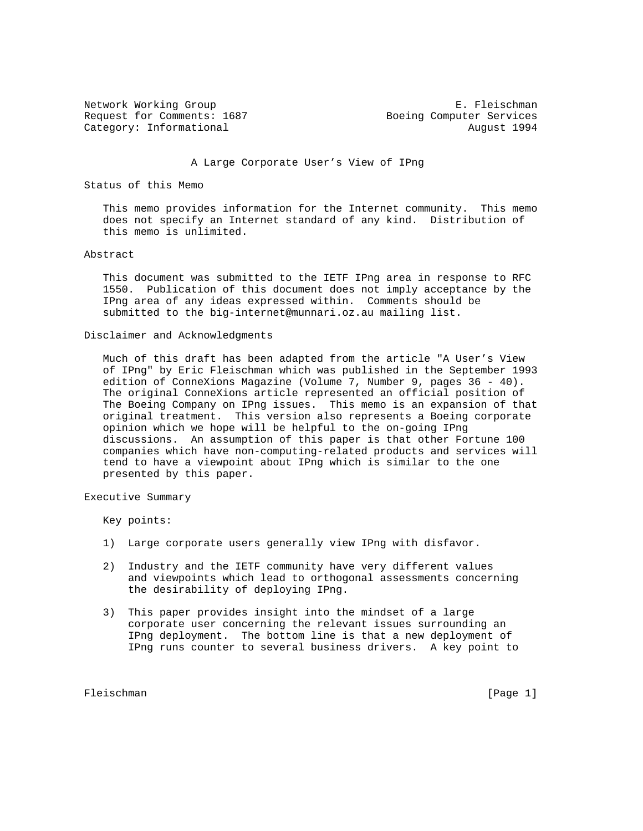Request for Comments: 1687 Boeing Computer Services Category: Informational and August 1994

Network Working Group **E. Fleischman** 

A Large Corporate User's View of IPng

Status of this Memo

 This memo provides information for the Internet community. This memo does not specify an Internet standard of any kind. Distribution of this memo is unlimited.

# Abstract

 This document was submitted to the IETF IPng area in response to RFC 1550. Publication of this document does not imply acceptance by the IPng area of any ideas expressed within. Comments should be submitted to the big-internet@munnari.oz.au mailing list.

# Disclaimer and Acknowledgments

 Much of this draft has been adapted from the article "A User's View of IPng" by Eric Fleischman which was published in the September 1993 edition of ConneXions Magazine (Volume 7, Number 9, pages 36 - 40). The original ConneXions article represented an official position of The Boeing Company on IPng issues. This memo is an expansion of that original treatment. This version also represents a Boeing corporate opinion which we hope will be helpful to the on-going IPng discussions. An assumption of this paper is that other Fortune 100 companies which have non-computing-related products and services will tend to have a viewpoint about IPng which is similar to the one presented by this paper.

Executive Summary

Key points:

- 1) Large corporate users generally view IPng with disfavor.
- 2) Industry and the IETF community have very different values and viewpoints which lead to orthogonal assessments concerning the desirability of deploying IPng.
- 3) This paper provides insight into the mindset of a large corporate user concerning the relevant issues surrounding an IPng deployment. The bottom line is that a new deployment of IPng runs counter to several business drivers. A key point to

Fleischman [Page 1] [Page 1]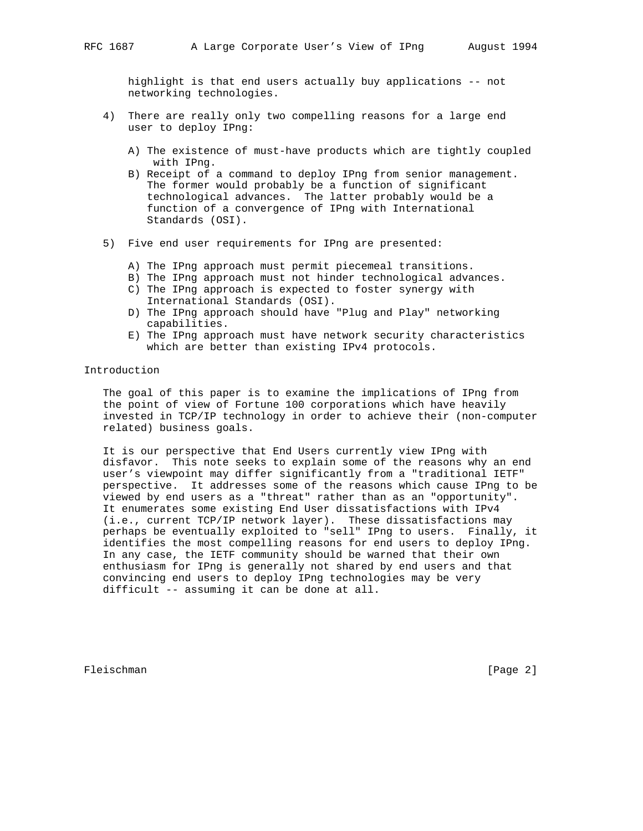highlight is that end users actually buy applications -- not networking technologies.

- 4) There are really only two compelling reasons for a large end user to deploy IPng:
	- A) The existence of must-have products which are tightly coupled with IPng.
	- B) Receipt of a command to deploy IPng from senior management. The former would probably be a function of significant technological advances. The latter probably would be a function of a convergence of IPng with International Standards (OSI).
- 5) Five end user requirements for IPng are presented:
	- A) The IPng approach must permit piecemeal transitions.
	- B) The IPng approach must not hinder technological advances.
	- C) The IPng approach is expected to foster synergy with International Standards (OSI).
	- D) The IPng approach should have "Plug and Play" networking capabilities.
	- E) The IPng approach must have network security characteristics which are better than existing IPv4 protocols.

# Introduction

 The goal of this paper is to examine the implications of IPng from the point of view of Fortune 100 corporations which have heavily invested in TCP/IP technology in order to achieve their (non-computer related) business goals.

 It is our perspective that End Users currently view IPng with disfavor. This note seeks to explain some of the reasons why an end user's viewpoint may differ significantly from a "traditional IETF" perspective. It addresses some of the reasons which cause IPng to be viewed by end users as a "threat" rather than as an "opportunity". It enumerates some existing End User dissatisfactions with IPv4 (i.e., current TCP/IP network layer). These dissatisfactions may perhaps be eventually exploited to "sell" IPng to users. Finally, it identifies the most compelling reasons for end users to deploy IPng. In any case, the IETF community should be warned that their own enthusiasm for IPng is generally not shared by end users and that convincing end users to deploy IPng technologies may be very difficult -- assuming it can be done at all.

Fleischman [Page 2]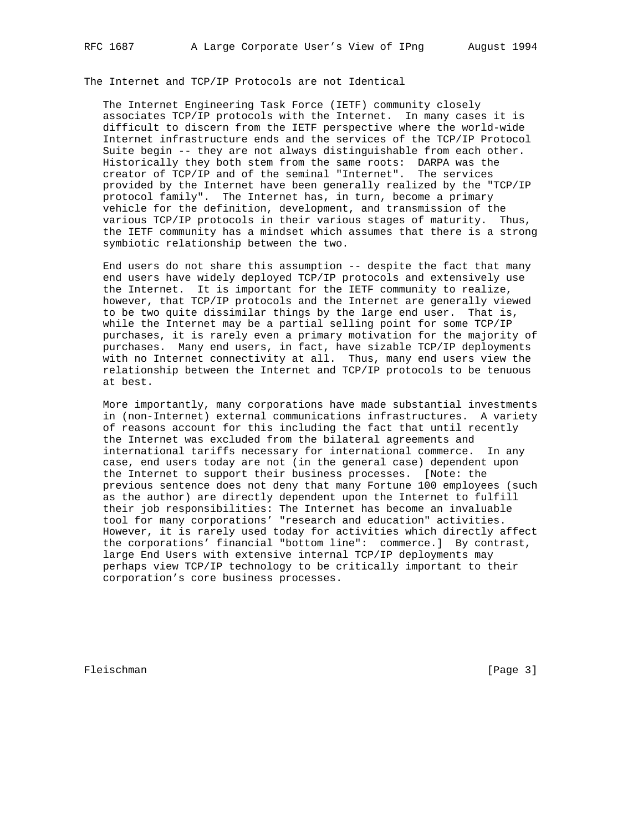The Internet and TCP/IP Protocols are not Identical

 The Internet Engineering Task Force (IETF) community closely associates TCP/IP protocols with the Internet. In many cases it is difficult to discern from the IETF perspective where the world-wide Internet infrastructure ends and the services of the TCP/IP Protocol Suite begin -- they are not always distinguishable from each other. Historically they both stem from the same roots: DARPA was the creator of TCP/IP and of the seminal "Internet". The services provided by the Internet have been generally realized by the "TCP/IP protocol family". The Internet has, in turn, become a primary vehicle for the definition, development, and transmission of the various TCP/IP protocols in their various stages of maturity. Thus, the IETF community has a mindset which assumes that there is a strong symbiotic relationship between the two.

 End users do not share this assumption -- despite the fact that many end users have widely deployed TCP/IP protocols and extensively use the Internet. It is important for the IETF community to realize, however, that TCP/IP protocols and the Internet are generally viewed to be two quite dissimilar things by the large end user. That is, while the Internet may be a partial selling point for some TCP/IP purchases, it is rarely even a primary motivation for the majority of purchases. Many end users, in fact, have sizable TCP/IP deployments with no Internet connectivity at all. Thus, many end users view the relationship between the Internet and TCP/IP protocols to be tenuous at best.

 More importantly, many corporations have made substantial investments in (non-Internet) external communications infrastructures. A variety of reasons account for this including the fact that until recently the Internet was excluded from the bilateral agreements and international tariffs necessary for international commerce. In any case, end users today are not (in the general case) dependent upon the Internet to support their business processes. [Note: the previous sentence does not deny that many Fortune 100 employees (such as the author) are directly dependent upon the Internet to fulfill their job responsibilities: The Internet has become an invaluable tool for many corporations' "research and education" activities. However, it is rarely used today for activities which directly affect the corporations' financial "bottom line": commerce.] By contrast, large End Users with extensive internal TCP/IP deployments may perhaps view TCP/IP technology to be critically important to their corporation's core business processes.

Fleischman [Page 3]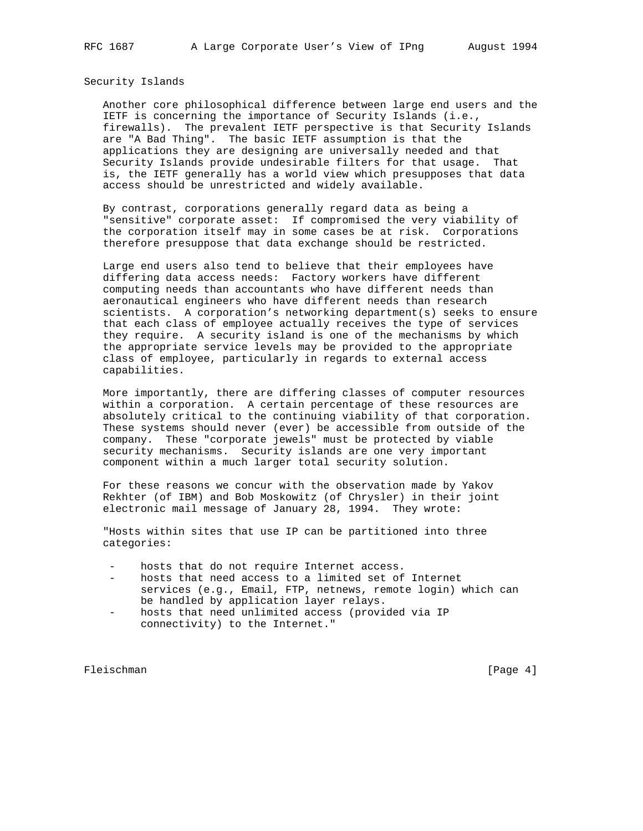Security Islands

 Another core philosophical difference between large end users and the IETF is concerning the importance of Security Islands (i.e., firewalls). The prevalent IETF perspective is that Security Islands are "A Bad Thing". The basic IETF assumption is that the applications they are designing are universally needed and that Security Islands provide undesirable filters for that usage. That is, the IETF generally has a world view which presupposes that data access should be unrestricted and widely available.

 By contrast, corporations generally regard data as being a "sensitive" corporate asset: If compromised the very viability of the corporation itself may in some cases be at risk. Corporations therefore presuppose that data exchange should be restricted.

 Large end users also tend to believe that their employees have differing data access needs: Factory workers have different computing needs than accountants who have different needs than aeronautical engineers who have different needs than research scientists. A corporation's networking department(s) seeks to ensure that each class of employee actually receives the type of services they require. A security island is one of the mechanisms by which the appropriate service levels may be provided to the appropriate class of employee, particularly in regards to external access capabilities.

 More importantly, there are differing classes of computer resources within a corporation. A certain percentage of these resources are absolutely critical to the continuing viability of that corporation. These systems should never (ever) be accessible from outside of the company. These "corporate jewels" must be protected by viable security mechanisms. Security islands are one very important component within a much larger total security solution.

 For these reasons we concur with the observation made by Yakov Rekhter (of IBM) and Bob Moskowitz (of Chrysler) in their joint electronic mail message of January 28, 1994. They wrote:

 "Hosts within sites that use IP can be partitioned into three categories:

- hosts that do not require Internet access.
- hosts that need access to a limited set of Internet services (e.g., Email, FTP, netnews, remote login) which can be handled by application layer relays.
- hosts that need unlimited access (provided via IP connectivity) to the Internet."

Fleischman [Page 4]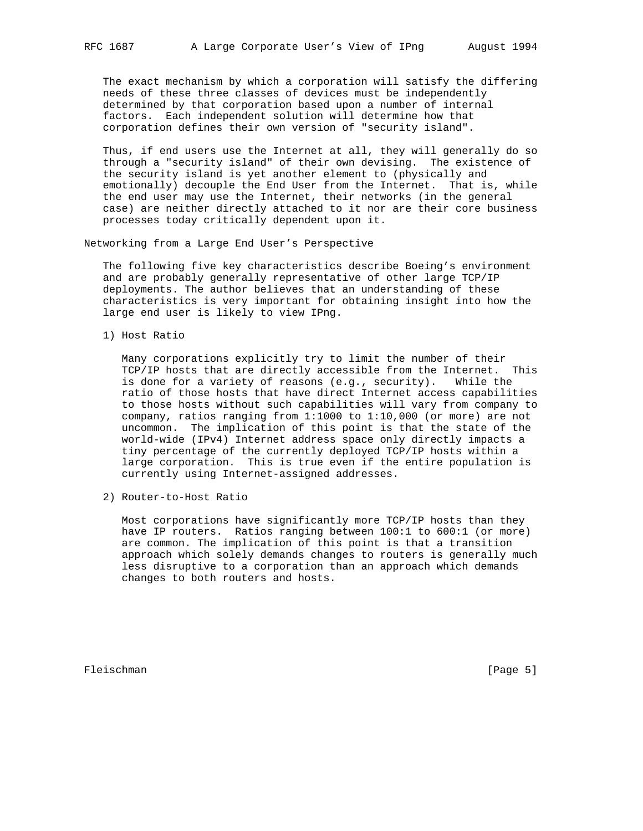The exact mechanism by which a corporation will satisfy the differing needs of these three classes of devices must be independently determined by that corporation based upon a number of internal factors. Each independent solution will determine how that corporation defines their own version of "security island".

 Thus, if end users use the Internet at all, they will generally do so through a "security island" of their own devising. The existence of the security island is yet another element to (physically and emotionally) decouple the End User from the Internet. That is, while the end user may use the Internet, their networks (in the general case) are neither directly attached to it nor are their core business processes today critically dependent upon it.

Networking from a Large End User's Perspective

 The following five key characteristics describe Boeing's environment and are probably generally representative of other large TCP/IP deployments. The author believes that an understanding of these characteristics is very important for obtaining insight into how the large end user is likely to view IPng.

1) Host Ratio

 Many corporations explicitly try to limit the number of their TCP/IP hosts that are directly accessible from the Internet. This is done for a variety of reasons (e.g., security). While the ratio of those hosts that have direct Internet access capabilities to those hosts without such capabilities will vary from company to company, ratios ranging from 1:1000 to 1:10,000 (or more) are not uncommon. The implication of this point is that the state of the world-wide (IPv4) Internet address space only directly impacts a tiny percentage of the currently deployed TCP/IP hosts within a large corporation. This is true even if the entire population is currently using Internet-assigned addresses.

2) Router-to-Host Ratio

 Most corporations have significantly more TCP/IP hosts than they have IP routers. Ratios ranging between 100:1 to 600:1 (or more) are common. The implication of this point is that a transition approach which solely demands changes to routers is generally much less disruptive to a corporation than an approach which demands changes to both routers and hosts.

Fleischman [Page 5]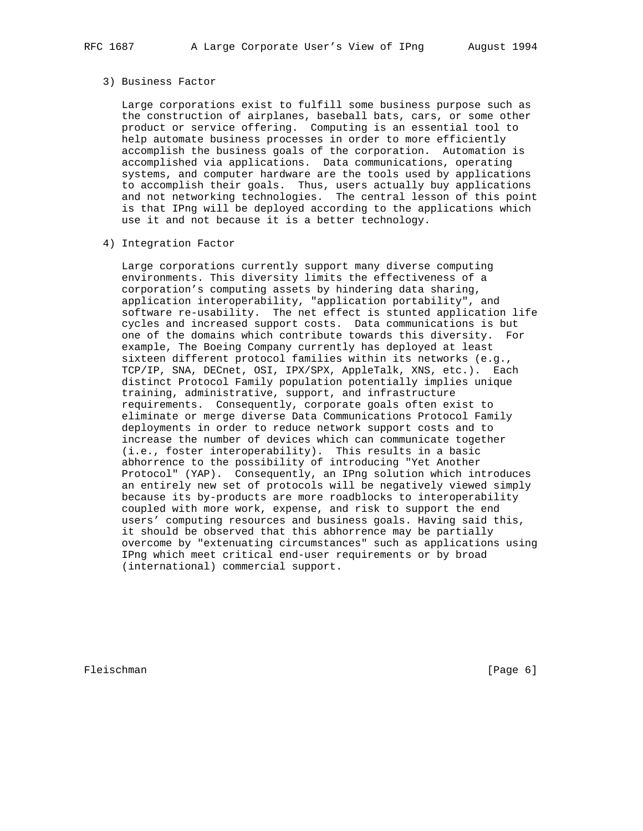## 3) Business Factor

 Large corporations exist to fulfill some business purpose such as the construction of airplanes, baseball bats, cars, or some other product or service offering. Computing is an essential tool to help automate business processes in order to more efficiently accomplish the business goals of the corporation. Automation is accomplished via applications. Data communications, operating systems, and computer hardware are the tools used by applications to accomplish their goals. Thus, users actually buy applications and not networking technologies. The central lesson of this point is that IPng will be deployed according to the applications which use it and not because it is a better technology.

4) Integration Factor

 Large corporations currently support many diverse computing environments. This diversity limits the effectiveness of a corporation's computing assets by hindering data sharing, application interoperability, "application portability", and software re-usability. The net effect is stunted application life cycles and increased support costs. Data communications is but one of the domains which contribute towards this diversity. For example, The Boeing Company currently has deployed at least sixteen different protocol families within its networks (e.g., TCP/IP, SNA, DECnet, OSI, IPX/SPX, AppleTalk, XNS, etc.). Each distinct Protocol Family population potentially implies unique training, administrative, support, and infrastructure requirements. Consequently, corporate goals often exist to eliminate or merge diverse Data Communications Protocol Family deployments in order to reduce network support costs and to increase the number of devices which can communicate together (i.e., foster interoperability). This results in a basic abhorrence to the possibility of introducing "Yet Another Protocol" (YAP). Consequently, an IPng solution which introduces an entirely new set of protocols will be negatively viewed simply because its by-products are more roadblocks to interoperability coupled with more work, expense, and risk to support the end users' computing resources and business goals. Having said this, it should be observed that this abhorrence may be partially overcome by "extenuating circumstances" such as applications using IPng which meet critical end-user requirements or by broad (international) commercial support.

Fleischman [Page 6] [Page 6]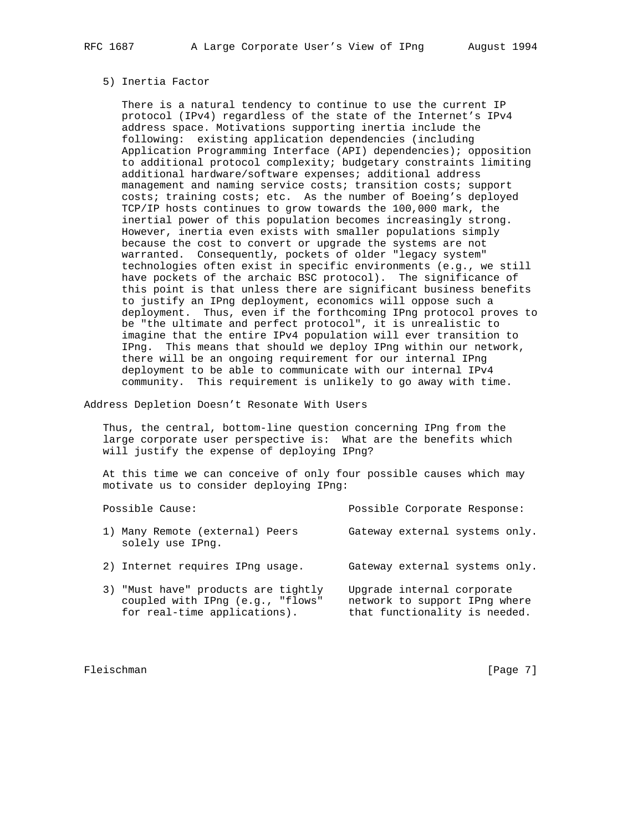### 5) Inertia Factor

 There is a natural tendency to continue to use the current IP protocol (IPv4) regardless of the state of the Internet's IPv4 address space. Motivations supporting inertia include the following: existing application dependencies (including Application Programming Interface (API) dependencies); opposition to additional protocol complexity; budgetary constraints limiting additional hardware/software expenses; additional address management and naming service costs; transition costs; support costs; training costs; etc. As the number of Boeing's deployed TCP/IP hosts continues to grow towards the 100,000 mark, the inertial power of this population becomes increasingly strong. However, inertia even exists with smaller populations simply because the cost to convert or upgrade the systems are not warranted. Consequently, pockets of older "legacy system" technologies often exist in specific environments (e.g., we still have pockets of the archaic BSC protocol). The significance of this point is that unless there are significant business benefits to justify an IPng deployment, economics will oppose such a deployment. Thus, even if the forthcoming IPng protocol proves to be "the ultimate and perfect protocol", it is unrealistic to imagine that the entire IPv4 population will ever transition to IPng. This means that should we deploy IPng within our network, there will be an ongoing requirement for our internal IPng deployment to be able to communicate with our internal IPv4 community. This requirement is unlikely to go away with time.

Address Depletion Doesn't Resonate With Users

 Thus, the central, bottom-line question concerning IPng from the large corporate user perspective is: What are the benefits which will justify the expense of deploying IPng?

 At this time we can conceive of only four possible causes which may motivate us to consider deploying IPng:

| Possible Cause:                                                                                         | Possible Corporate Response:                                                                 |
|---------------------------------------------------------------------------------------------------------|----------------------------------------------------------------------------------------------|
| 1) Many Remote (external) Peers<br>solely use IPng.                                                     | Gateway external systems only.                                                               |
| 2) Internet requires IPng usage.                                                                        | Gateway external systems only.                                                               |
| 3) "Must have" products are tightly<br>coupled with IPng (e.g., "flows"<br>for real-time applications). | Upgrade internal corporate<br>network to support IPng where<br>that functionality is needed. |

Fleischman [Page 7]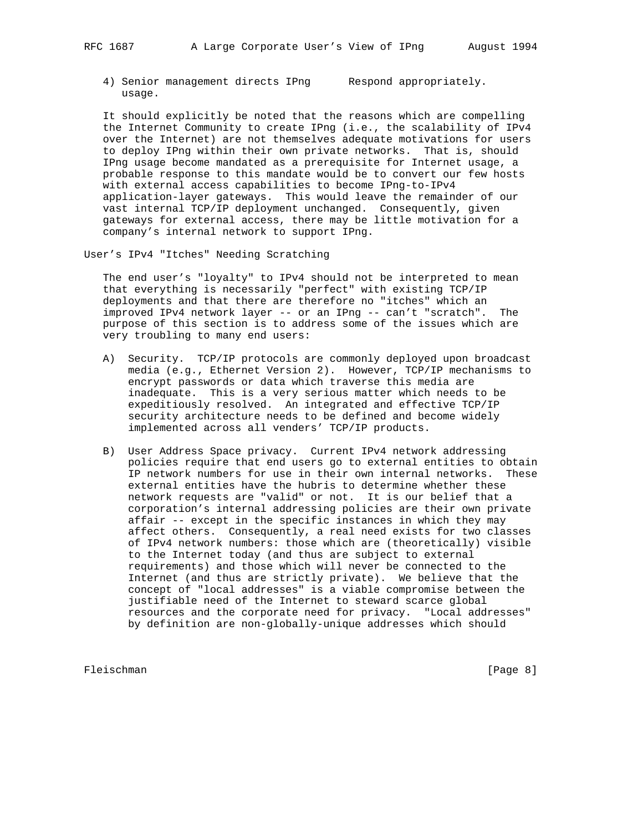4) Senior management directs IPng Respond appropriately. usage.

 It should explicitly be noted that the reasons which are compelling the Internet Community to create IPng (i.e., the scalability of IPv4 over the Internet) are not themselves adequate motivations for users to deploy IPng within their own private networks. That is, should IPng usage become mandated as a prerequisite for Internet usage, a probable response to this mandate would be to convert our few hosts with external access capabilities to become IPng-to-IPv4 application-layer gateways. This would leave the remainder of our vast internal TCP/IP deployment unchanged. Consequently, given gateways for external access, there may be little motivation for a company's internal network to support IPng.

User's IPv4 "Itches" Needing Scratching

 The end user's "loyalty" to IPv4 should not be interpreted to mean that everything is necessarily "perfect" with existing TCP/IP deployments and that there are therefore no "itches" which an improved IPv4 network layer -- or an IPng -- can't "scratch". The purpose of this section is to address some of the issues which are very troubling to many end users:

- A) Security. TCP/IP protocols are commonly deployed upon broadcast media (e.g., Ethernet Version 2). However, TCP/IP mechanisms to encrypt passwords or data which traverse this media are inadequate. This is a very serious matter which needs to be expeditiously resolved. An integrated and effective TCP/IP security architecture needs to be defined and become widely implemented across all venders' TCP/IP products.
- B) User Address Space privacy. Current IPv4 network addressing policies require that end users go to external entities to obtain IP network numbers for use in their own internal networks. These external entities have the hubris to determine whether these network requests are "valid" or not. It is our belief that a corporation's internal addressing policies are their own private affair -- except in the specific instances in which they may affect others. Consequently, a real need exists for two classes of IPv4 network numbers: those which are (theoretically) visible to the Internet today (and thus are subject to external requirements) and those which will never be connected to the Internet (and thus are strictly private). We believe that the concept of "local addresses" is a viable compromise between the justifiable need of the Internet to steward scarce global resources and the corporate need for privacy. "Local addresses" by definition are non-globally-unique addresses which should

Fleischman [Page 8]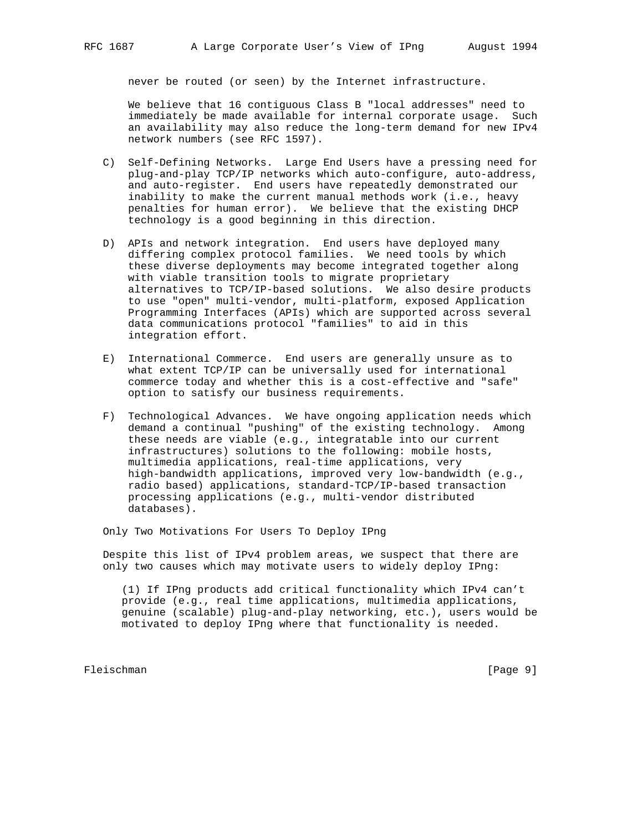never be routed (or seen) by the Internet infrastructure.

 We believe that 16 contiguous Class B "local addresses" need to immediately be made available for internal corporate usage. Such an availability may also reduce the long-term demand for new IPv4 network numbers (see RFC 1597).

- C) Self-Defining Networks. Large End Users have a pressing need for plug-and-play TCP/IP networks which auto-configure, auto-address, and auto-register. End users have repeatedly demonstrated our inability to make the current manual methods work (i.e., heavy penalties for human error). We believe that the existing DHCP technology is a good beginning in this direction.
- D) APIs and network integration. End users have deployed many differing complex protocol families. We need tools by which these diverse deployments may become integrated together along with viable transition tools to migrate proprietary alternatives to TCP/IP-based solutions. We also desire products to use "open" multi-vendor, multi-platform, exposed Application Programming Interfaces (APIs) which are supported across several data communications protocol "families" to aid in this integration effort.
- E) International Commerce. End users are generally unsure as to what extent TCP/IP can be universally used for international commerce today and whether this is a cost-effective and "safe" option to satisfy our business requirements.
- F) Technological Advances. We have ongoing application needs which demand a continual "pushing" of the existing technology. Among these needs are viable (e.g., integratable into our current infrastructures) solutions to the following: mobile hosts, multimedia applications, real-time applications, very high-bandwidth applications, improved very low-bandwidth (e.g., radio based) applications, standard-TCP/IP-based transaction processing applications (e.g., multi-vendor distributed databases).

Only Two Motivations For Users To Deploy IPng

 Despite this list of IPv4 problem areas, we suspect that there are only two causes which may motivate users to widely deploy IPng:

 (1) If IPng products add critical functionality which IPv4 can't provide (e.g., real time applications, multimedia applications, genuine (scalable) plug-and-play networking, etc.), users would be motivated to deploy IPng where that functionality is needed.

Fleischman [Page 9]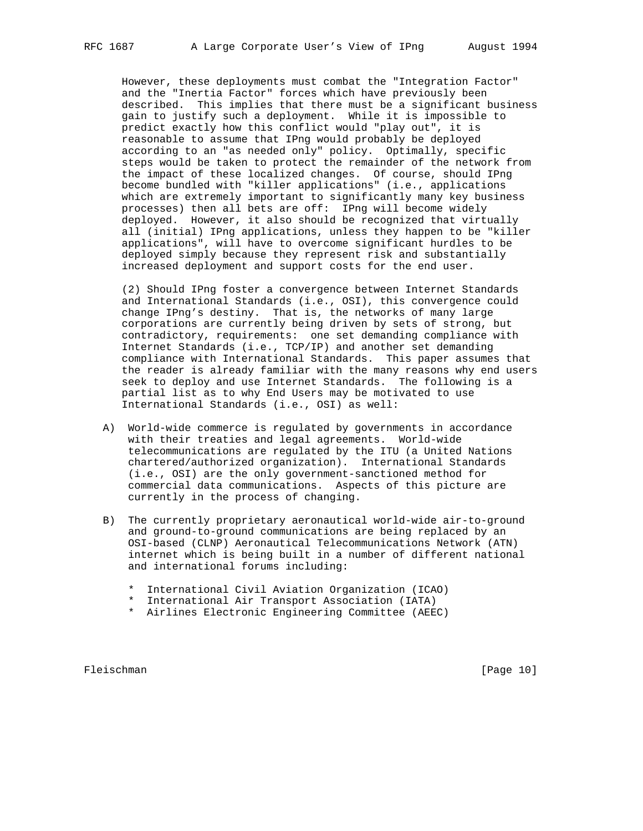However, these deployments must combat the "Integration Factor" and the "Inertia Factor" forces which have previously been described. This implies that there must be a significant business gain to justify such a deployment. While it is impossible to predict exactly how this conflict would "play out", it is reasonable to assume that IPng would probably be deployed according to an "as needed only" policy. Optimally, specific steps would be taken to protect the remainder of the network from the impact of these localized changes. Of course, should IPng become bundled with "killer applications" (i.e., applications which are extremely important to significantly many key business processes) then all bets are off: IPng will become widely deployed. However, it also should be recognized that virtually all (initial) IPng applications, unless they happen to be "killer applications", will have to overcome significant hurdles to be deployed simply because they represent risk and substantially increased deployment and support costs for the end user.

 (2) Should IPng foster a convergence between Internet Standards and International Standards (i.e., OSI), this convergence could change IPng's destiny. That is, the networks of many large corporations are currently being driven by sets of strong, but contradictory, requirements: one set demanding compliance with Internet Standards (i.e., TCP/IP) and another set demanding compliance with International Standards. This paper assumes that the reader is already familiar with the many reasons why end users seek to deploy and use Internet Standards. The following is a partial list as to why End Users may be motivated to use International Standards (i.e., OSI) as well:

- A) World-wide commerce is regulated by governments in accordance with their treaties and legal agreements. World-wide telecommunications are regulated by the ITU (a United Nations chartered/authorized organization). International Standards (i.e., OSI) are the only government-sanctioned method for commercial data communications. Aspects of this picture are currently in the process of changing.
- B) The currently proprietary aeronautical world-wide air-to-ground and ground-to-ground communications are being replaced by an OSI-based (CLNP) Aeronautical Telecommunications Network (ATN) internet which is being built in a number of different national and international forums including:
	- \* International Civil Aviation Organization (ICAO)
	- \* International Air Transport Association (IATA)
	- \* Airlines Electronic Engineering Committee (AEEC)

Fleischman [Page 10]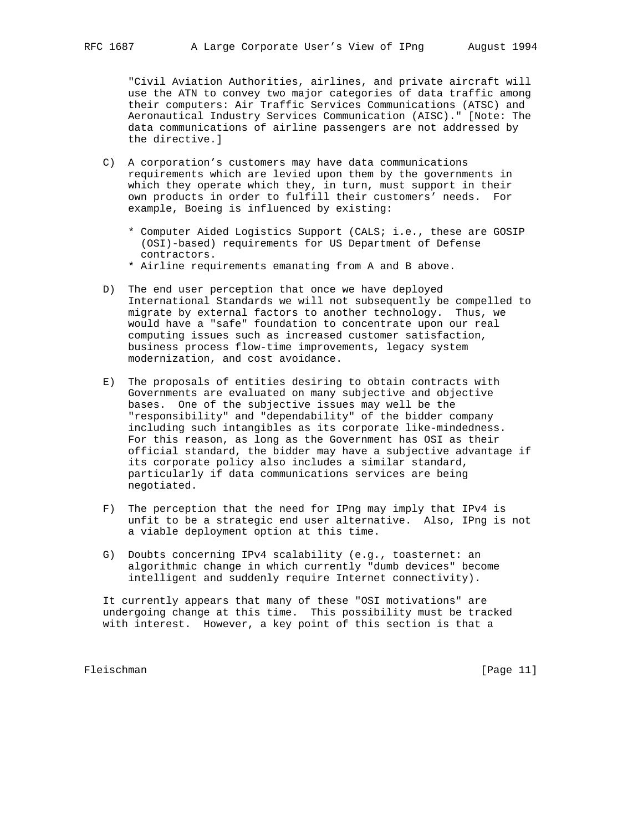"Civil Aviation Authorities, airlines, and private aircraft will use the ATN to convey two major categories of data traffic among their computers: Air Traffic Services Communications (ATSC) and Aeronautical Industry Services Communication (AISC)." [Note: The data communications of airline passengers are not addressed by the directive.]

- C) A corporation's customers may have data communications requirements which are levied upon them by the governments in which they operate which they, in turn, must support in their own products in order to fulfill their customers' needs. For example, Boeing is influenced by existing:
	- \* Computer Aided Logistics Support (CALS; i.e., these are GOSIP (OSI)-based) requirements for US Department of Defense contractors.
	- \* Airline requirements emanating from A and B above.
- D) The end user perception that once we have deployed International Standards we will not subsequently be compelled to migrate by external factors to another technology. Thus, we would have a "safe" foundation to concentrate upon our real computing issues such as increased customer satisfaction, business process flow-time improvements, legacy system modernization, and cost avoidance.
- E) The proposals of entities desiring to obtain contracts with Governments are evaluated on many subjective and objective bases. One of the subjective issues may well be the "responsibility" and "dependability" of the bidder company including such intangibles as its corporate like-mindedness. For this reason, as long as the Government has OSI as their official standard, the bidder may have a subjective advantage if its corporate policy also includes a similar standard, particularly if data communications services are being negotiated.
- F) The perception that the need for IPng may imply that IPv4 is unfit to be a strategic end user alternative. Also, IPng is not a viable deployment option at this time.
- G) Doubts concerning IPv4 scalability (e.g., toasternet: an algorithmic change in which currently "dumb devices" become intelligent and suddenly require Internet connectivity).

 It currently appears that many of these "OSI motivations" are undergoing change at this time. This possibility must be tracked with interest. However, a key point of this section is that a

Fleischman [Page 11]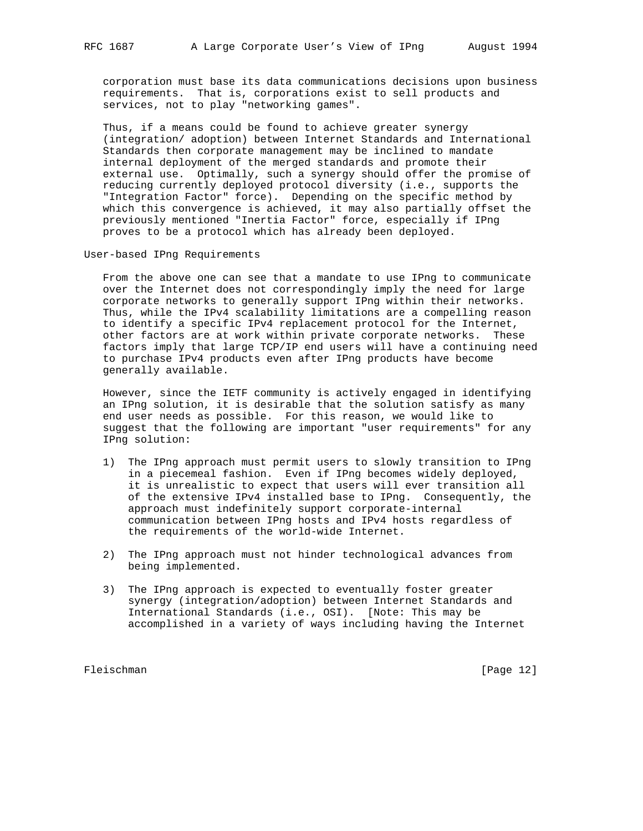corporation must base its data communications decisions upon business requirements. That is, corporations exist to sell products and services, not to play "networking games".

 Thus, if a means could be found to achieve greater synergy (integration/ adoption) between Internet Standards and International Standards then corporate management may be inclined to mandate internal deployment of the merged standards and promote their external use. Optimally, such a synergy should offer the promise of reducing currently deployed protocol diversity (i.e., supports the "Integration Factor" force). Depending on the specific method by which this convergence is achieved, it may also partially offset the previously mentioned "Inertia Factor" force, especially if IPng proves to be a protocol which has already been deployed.

User-based IPng Requirements

 From the above one can see that a mandate to use IPng to communicate over the Internet does not correspondingly imply the need for large corporate networks to generally support IPng within their networks. Thus, while the IPv4 scalability limitations are a compelling reason to identify a specific IPv4 replacement protocol for the Internet, other factors are at work within private corporate networks. These factors imply that large TCP/IP end users will have a continuing need to purchase IPv4 products even after IPng products have become generally available.

 However, since the IETF community is actively engaged in identifying an IPng solution, it is desirable that the solution satisfy as many end user needs as possible. For this reason, we would like to suggest that the following are important "user requirements" for any IPng solution:

- 1) The IPng approach must permit users to slowly transition to IPng in a piecemeal fashion. Even if IPng becomes widely deployed, it is unrealistic to expect that users will ever transition all of the extensive IPv4 installed base to IPng. Consequently, the approach must indefinitely support corporate-internal communication between IPng hosts and IPv4 hosts regardless of the requirements of the world-wide Internet.
- 2) The IPng approach must not hinder technological advances from being implemented.
- 3) The IPng approach is expected to eventually foster greater synergy (integration/adoption) between Internet Standards and International Standards (i.e., OSI). [Note: This may be accomplished in a variety of ways including having the Internet

Fleischman [Page 12]